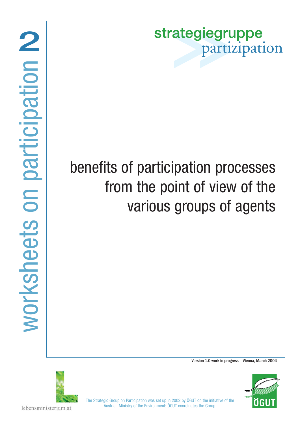strategiegruppe partizipation

### benefits of participation processes from the point of view of the various groups of agents

Version 1.0 work in progress – Vienna, March 2004



ÖGU

The Strategic Group on Participation was set up in 2002 by ÖGUT on the initiative of the Austrian Ministry of the Environment; ÖGUT coordinates the Group.

lebensministerium.at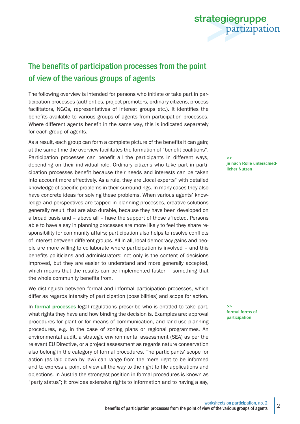

strategiegruppe partizipation

#### The benefits of participation processes from the point of view of the various groups of agents

The following overview is intended for persons who initiate or take part in participation processes (authorities, project promoters, ordinary citizens, process facilitators, NGOs, representatives of interest groups etc.). It identifies the benefits available to various groups of agents from participation processes. Where different agents benefit in the same way, this is indicated separately for each group of agents.

As a result, each group can form a complete picture of the benefits it can gain; at the same time the overview facilitates the formation of "benefit coalitions". Participation processes can benefit all the participants in different ways, depending on their individual role. Ordinary citizens who take part in participation processes benefit because their needs and interests can be taken into account more effectively. As a rule, they are "local experts" with detailed knowledge of specific problems in their surroundings. In many cases they also have concrete ideas for solving these problems. When various agents' knowledge and perspectives are tapped in planning processes, creative solutions generally result, that are also durable, because they have been developed on a broad basis and – above all – have the support of those affected. Persons able to have a say in planning processes are more likely to feel they share responsibility for community affairs; participation also helps to resolve conflicts of interest between different groups. All in all, local democracy gains and people are more willing to collaborate where participation is involved – and this benefits politicians and administrators: not only is the content of decisions improved, but they are easier to understand and more generally accepted, which means that the results can be implemented faster – something that the whole community benefits from.

We distinguish between formal and informal participation processes, which differ as regards intensity of participation (possibilities) and scope for action.

In formal processes legal regulations prescribe who is entitled to take part, what rights they have and how binding the decision is. Examples are: approval procedures for plant or for means of communication, and land-use planning procedures, e.g. in the case of zoning plans or regional programmes. An environmental audit, a strategic environmental assessment (SEA) as per the relevant EU Directive, or a project assessment as regards nature conservation also belong in the category of formal procedures. The participants' scope for action (as laid down by law) can range from the mere right to be informed and to express a point of view all the way to the right to file applications and objections. In Austria the strongest position in formal procedures is known as "party status"; it provides extensive rights to information and to having a say,

>> je nach Rolle unterschiedlicher Nutzen

>> formal forms of participation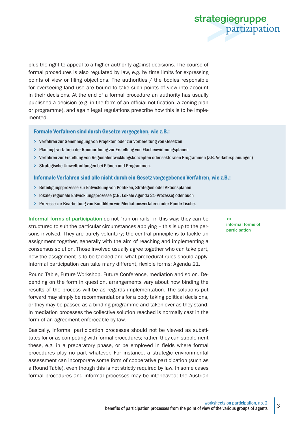

plus the right to appeal to a higher authority against decisions. The course of formal procedures is also regulated by law, e.g. by time limits for expressing points of view or filing objections. The authorities / the bodies responsible for overseeing land use are bound to take such points of view into account in their decisions. At the end of a formal procedure an authority has usually published a decision (e.g. in the form of an official notification, a zoning plan or programme), and again legal regulations prescribe how this is to be implemented.

Formale Verfahren sind durch Gesetze vorgegeben, wie z.B.:

- > Verfahren zur Genehmigung von Projekten oder zur Vorbereitung von Gesetzen
- > Planungsverfahren der Raumordnung zur Erstellung von Flächenwidmungsplänen
- > Verfahren zur Erstellung von Regionalentwicklungskonzepten oder sektoralen Programmen (z.B. Verkehrsplanungen)
- > Strategische Umweltprüfungen bei Plänen und Programmen.

#### Informale Verfahren sind alle nicht durch ein Gesetz vorgegebenen Verfahren, wie z.B.:

- > Beteiligungsprozesse zur Entwicklung von Politiken, Strategien oder Aktionsplänen
- > lokale/regionale Entwicklungsprozesse (z.B. Lokale Agenda 21-Prozesse) oder auch
- > Prozesse zur Bearbeitung von Konflikten wie Mediationsverfahren oder Runde Tische.

Informal forms of participation do not "run on rails" in this way; they can be structured to suit the particular circumstances applying – this is up to the persons involved. They are purely voluntary; the central principle is to tackle an assignment together, generally with the aim of reaching and implementing a consensus solution. Those involved usually agree together who can take part, how the assignment is to be tackled and what procedural rules should apply. Informal participation can take many different, flexible forms: Agenda 21,

Round Table, Future Workshop, Future Conference, mediation and so on. Depending on the form in question, arrangements vary about how binding the results of the process will be as regards implementation. The solutions put forward may simply be recommendations for a body taking political decisions, or they may be passed as a binding programme and taken over as they stand. In mediation processes the collective solution reached is normally cast in the form of an agreement enforceable by law.

Basically, informal participation processes should not be viewed as substitutes for or as competing with formal procedures; rather, they can supplement these, e.g. in a preparatory phase, or be employed in fields where formal procedures play no part whatever. For instance, a strategic environmental assessment can incorporate some form of cooperative participation (such as a Round Table), even though this is not strictly required by law. In some cases formal procedures and informal processes may be interleaved; the Austrian

>> informal forms of participation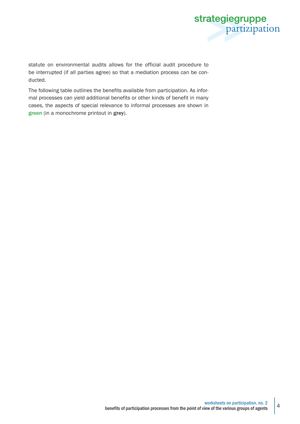

statute on environmental audits allows for the official audit procedure to be interrupted (if all parties agree) so that a mediation process can be conducted.

The following table outlines the benefits available from participation. As informal processes can yield additional benefits or other kinds of benefit in many cases, the aspects of special relevance to informal processes are shown in green (in a monochrome printout in grey).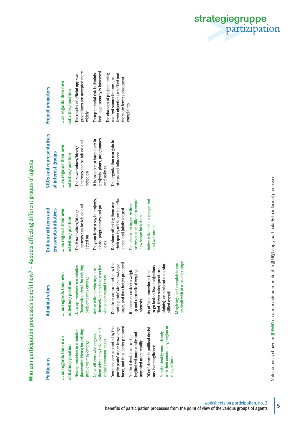| $\frac{1}{2}$<br>֧֧֧֧֧ׅ֧֧ׅ֧֦֧ׅ֧֧ׅ֧ׅ֛֛֪֛֪֛֪֧֧ׅ֧֧֛֪֧֪֧֪֪֧֪֧֟֟֟֟֟֟֟֟֟֟֟֟֟֟֟֟֟֟֟֟֟֟֟֝֟֝֟֓֝֟֟֜֓֝֟֓֜֝֬֝֬֜֓֝֬֜֜֜֝֝֝֬֝֝֬֝֝֝<br>J |
|--------------------------------------------------------------------------------------------------------------------------|
| ite<br>t                                                                                                                 |
| J                                                                                                                        |
| $\ddot{\phantom{a}}$                                                                                                     |
| J                                                                                                                        |
| ć<br>C                                                                                                                   |
|                                                                                                                          |
|                                                                                                                          |
| ֧֖֧֧֧֧֧֧֧֧ׅ֧֧֧֧֧֧֧֧֧֧֧֧֧֧֧֧֧֧֧֧֧֧֧֧֧֧֧֧֧֧֧֧֧֧֚֚֚֚֚֚֚֚֚֚֚֚֚֚֚֚֚֚֚֚֚֚֚֚֝֝֓֝֓֝֟֓֝֓֝֓֝֓֝֬֜֓֝֬֜֜<br>i                         |
| ١                                                                                                                        |
|                                                                                                                          |
| י האם האודו.<br>١                                                                                                        |

| <b>Politicians</b>                                                                                                                            | <b>Administrators</b>                                                                                                                                  | <b>Ordinary citizens and</b>                                                                      |
|-----------------------------------------------------------------------------------------------------------------------------------------------|--------------------------------------------------------------------------------------------------------------------------------------------------------|---------------------------------------------------------------------------------------------------|
|                                                                                                                                               |                                                                                                                                                        | grassroots initiatives                                                                            |
| as regards their own                                                                                                                          | as regards their own                                                                                                                                   | as regards their own                                                                              |
| activities/position                                                                                                                           | activities/position                                                                                                                                    | activities/position                                                                               |
| - New approaches to a solution<br>(innovative ideas) for existing<br>problems may emerge                                                      | - New approaches to a solution<br>(innovative ideas) for existing<br>problems may emerge                                                               | interests can be tabled and<br>- Their own values/ideas/<br>acted on                              |
| themselves may take over indi-<br>Active citizens who organize<br>vidual communal tasks<br>Ŧ.                                                 | themselves may take over indi-<br>- Active citizens who organize<br>vidual communal tasks                                                              | - They can have a say in projects,<br>plans, programmes and po-<br>licies                         |
| base, and thus better prepared<br>- Decisions are supported by the<br>participants' wider knowledge                                           | - Decisions are supported by the<br>base, and thus better prepared<br>participants' wider knowledge                                                    | their quality of life can be influ-<br>- Decisions affecting them and<br>enced and jointly shaped |
| legitimized more easily and<br>- Political decisions can be<br>accepted more readily                                                          | up and reconcile diverging<br>- It becomes easier to weigh<br>interests                                                                                | selves can be utilized to create<br>- The chance to organize them-<br>new scope for action        |
| with their community/region or<br>- DConfidence in political decisi-<br>- People identify more closely<br>ons is strengthened<br>village/town | plaints), administration is sim-<br>to go faster (fewer objections<br>filed, fewer subsequent com-<br>- As official procedures tend<br>plified overall | - Active citizenship is recognized<br>and welcomed                                                |
|                                                                                                                                               | be dealt with at an earlier stage<br>- Misgivings and complaints can                                                                                   |                                                                                                   |

# **Project promoters** Project promoters

... as regards their own ... as regards their own

... as regards their own activities/position

activities/position

... as regards their own

interests can be tabled and interests can be tabled and Their own values/ideas/ - Their own values/ideas/ activities/position activities/position acted on

- The results of official approval procedures are accepted more

The results of official approval

procedures are accepted more

widely

- Entrepreneurial risk is diminished, legal security is increased - The chances of projects being realized sooner improve, as fewer objections are filed and there are fewer subsequent there are fewer subsequent<br>complaints

Entrepreneurial risk is diminis-

hed, legal security is increased

The chances of projects being fewer objections are filed and realized sooner improve, as

- and policies and policies
	- status and influence status and influence
- **NGOs and representatives** NGOs and representatives of interest groups of interest groups
- 
- It is possible to have a say in projects, plans, programmes projects, plans, programmes - It is possible to have a say in
- The organization can gain in - The organization can gain in

strategiegruppe<br>partizipation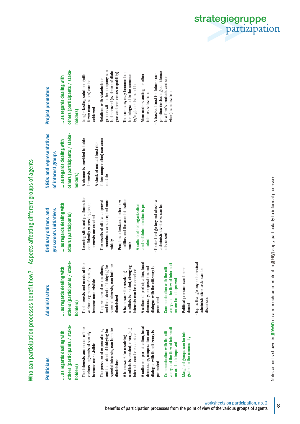Who can participation processes benefit how? - Aspects affecting different groups of agents Who can participation processes benefit how? – Aspects affecting different groups of agents

| <b>Politicians</b>                                                                                                | <b>Administrators</b>                                                                                             | <b>Ordinary citizens and</b><br>grassroots initiatives                                                         | <b>NGOs and representatives</b><br>of interest groups                          |
|-------------------------------------------------------------------------------------------------------------------|-------------------------------------------------------------------------------------------------------------------|----------------------------------------------------------------------------------------------------------------|--------------------------------------------------------------------------------|
| others (participants / stake-<br>as regards dealing with<br>holders)                                              | others (participants / stake-<br>as regards dealing with<br>holders)                                              | as regards dealing with<br>others (participants)                                                               | others (participants / stake-<br>as regards dealing with<br>holders)           |
| - The interests and needs of the<br>various segments of society<br>become more visible                            | - The interests and needs of the<br>various segments of society<br>become more visible                            | - Learning sites and platforms for<br>confidently expressing one's<br>interests are created                    | - A chance is provided to table<br>- A stock of mutual trust (for<br>interests |
| special interests, can both be<br>and the extent of lobbying for<br>- The pressure of expectations,<br>diminished | special interests, can both be<br>- The pressure of expectations,<br>and the extent of lobbying for<br>diminished | procedures are accepted more<br>- People understand better how<br>- The results of official approval<br>widely | future cooperation) can accu-<br>mulate                                        |
| conflicts is created, diverging<br>interests can be reconciled<br>- A framework for resolving                     | conflicts is created, diverging<br>interests can be reconciled<br>A framework for resolving                       | politics and the administration<br>- A culture of selforganization<br>work                                     |                                                                                |
| - A culture of participation, local<br>democracy, cooperation and<br>dialogue with the citizenry is<br>promoted   | A culture of participation, local<br>democracy, cooperation and<br>dialogue with the citizenry is<br>promoted     | - Topics that go beyond classical<br>and selfdetermination is pro-<br>administrative tasks can be<br>moted     |                                                                                |
| zenry and the flow of informati-<br>- Communication with the citi-<br>on are both improved                        | zenry and the flow of informati-<br>- Communication with the citi-<br>on are both improved                        | discussed                                                                                                      |                                                                                |
| -Marginal groups can be inte-<br>grated in the community                                                          | - Political pressure can be re-<br>duced                                                                          |                                                                                                                |                                                                                |
|                                                                                                                   | Topics that go beyond classical<br>administrative tasks can be<br>discussed                                       |                                                                                                                |                                                                                |

## Project promoters Project promoters

... as regards dealing with ... as regards dealing with

others (participants / stakeothers (participants / stake-

### holders)

Longer-lasting solutions (with - Longer-lasting solutions (with fewer court cases) can be fewer court cases) can be achieved

- groups within the company can groups within the company can be improved (evidence of dialobe improved (evidence of dialogue and consensus capability) gue and consensus capability) Relations with stakeholder - Relations with stakeholder
- The company may become bet-- The company may become better integrated in the communiter integrated in the community/region it is based in ty/region it is based in
	- More understanding for other - More understanding for other interests develops interests develops
- peration (including confidence peration (including confidence - A basis of trust for future coo-- A basis of trust for future cooin a firm's products and serin a firm's products and services) can develop vices) can develop

strategiegruppe<br>partizipation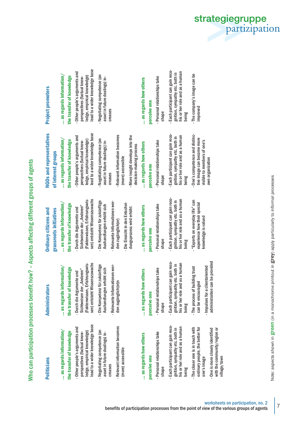Who can participation processes benefit how? - Aspects affecting different groups of agents Who can participation processes benefit how? – Aspects affecting different groups of agents

| <b>Politicians</b>                                                                                                             | <b>Administrators</b>                                                                                                        | <b>Ordinary citizens and</b>                                                                                            |
|--------------------------------------------------------------------------------------------------------------------------------|------------------------------------------------------------------------------------------------------------------------------|-------------------------------------------------------------------------------------------------------------------------|
|                                                                                                                                |                                                                                                                              | grassroots initiatives                                                                                                  |
| $\ldots$ as regards information/                                                                                               | as regards information/                                                                                                      | as regards information/                                                                                                 |
| the transfer of knowledge                                                                                                      | the transfer of knowledge                                                                                                    | the transfer of knowledge                                                                                               |
| lead to a wider knowledge base<br>- Other people's arguments and<br>ledge, empirical knowledge)<br>perspectives (factual know- | (Faktenwissen, Erfahrungswis-<br>sen) entsteht Wissenszuwachs<br>Sichtweisen der "Anderen"<br>- Durch die Argumente und      | sen) entsteht Wissenszuwachs<br>(Faktenwissen, Erfahrungswis-<br>Sichtweisen der "Anderen"<br>- Durch die Argumente und |
| Negotiating competence (an<br>asset in future dealings) in-                                                                    | Die Kompetenz für zukünftige<br>Aushandlungen erhöht sich                                                                    | - Die Kompetenz für zukünftige<br>Aushandlungen erhöht sich                                                             |
| - Relevant information becomes<br>creases                                                                                      | Relevante Informationen wer-<br>den zugänglich(er)n<br>$\mathbf{r}$                                                          | - Relevante Informationen wer-<br>den zugänglich(er)                                                                    |
| (more) accessible                                                                                                              |                                                                                                                              | - Die Einsicht in den Entschei-<br>dungsprozess wird erhöht                                                             |
| as regards how others                                                                                                          | as regards how others                                                                                                        | as regards how others                                                                                                   |
| perceive one                                                                                                                   | perceive one                                                                                                                 | perceive one                                                                                                            |
| - Personal relationships take<br>shape                                                                                         | - Personal relationships take<br>shape                                                                                       | - Personal relationships take<br>shape                                                                                  |
| Each participant can gain reco-<br>his or her role and as a human<br>gnition, sympathy etc. both in<br>being<br>$\mathbf{I}$   | Each participant can gain reco-<br>his or her role and as a human<br>gnition, sympathy etc. both in<br>being<br>$\mathbf{r}$ | - Each participant can gain reco-<br>his or her role and as a human<br>gnition, sympathy etc. both in<br>being          |
| ordinary people, the better for<br>- The closer one is in touch with<br>one's image                                            | - Impulses for a clientoriented<br>- The process of building trust<br>can be encouraged                                      | - "Experts on everyday life" can<br>experience how their special<br>knowledge is valued                                 |
| with the community/region or<br>One is more closely identified<br>village/town<br>$\mathbf{r}$                                 | administration can be provided                                                                                               |                                                                                                                         |
|                                                                                                                                |                                                                                                                              |                                                                                                                         |

**NGOs and representatives** NGOs and representatives of interest groups of interest groups

... as regards information/ ... as regards information/ the transfer of knowledge

the transfer of knowledge

- lead to a wider knowledge base lead to a wider knowledge base - Other people's arguments and - Other people's arguments and ledge, empirical knowledge) ledge, empirical knowledge) perspectives (factual knowperspectives (factual know-
	- Negotiating competence (an - Negotiating competence (an asset in future dealings) inasset in future dealings) increases
- Relevant information becomes Relevant information becomes (more) accessible (more) accessible creases
- More insight develops into the - More insight develops into the decision-making process decision-making process
- ... as regards how others ... as regards how others perceive one perceive one
- Personal relationships take - Personal relationships take shape
- Each participant can gain reco-Each participant can gain recohis or her role and as a human gnition, sympathy etc. both in his or her role and as a human gnition, sympathy etc. both in being
- One's competence and distinc-- One's competence and distinctive image can become more tive image can become more visible to members of one's visible to members of one's own organization own organization

### **Project promoters** Project promoters

- ... as regards information/ ... as regards information/ the transfer of knowledge the transfer of knowledge
- lead to a wider knowledge base lead to a wider knowledge base - Other people's arguments and Other people's arguments and ledge, empirical knowledge) edge, empirical knowledge) perspectives (factual knowperspectives (factual know-
	- Negotiating competence (an - Negotiating competence (an asset in future dealings) inasset in future dealings) increases creases

# ... as regards how others ... as regards how others

#### perceive one perceive one

- Personal relationships take - Personal relationships take shape
- Each participant can gain reco-Each participant can gain recohis or her role and as a human gnition, sympathy etc. both in nis or her role and as a human gnition, sympathy etc. both in being
- The company's image can be - The company's image can be improved